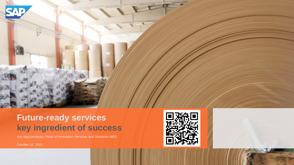

# **Future -ready services key ingredient of success**

Ara Aguzumtsyan, Head of Innovation Services and Solutions MEE

October 12, 2021

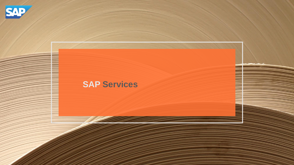

# **SAP Services**

© SAP SE OR AN SAP AFFILIATE COMPANY. ALL RIGHTS RESERVED. 2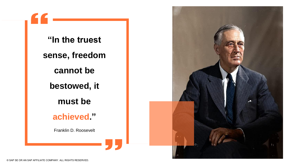**"In the truest sense, freedom cannot be bestowed, it must be achieved."** Franklin D. Roosevelt

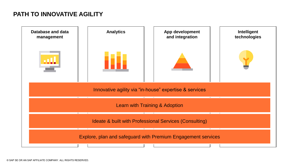## **PATH TO INNOVATIVE AGILITY**

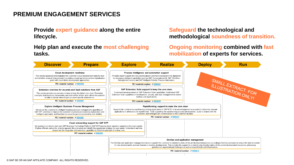## **PREMIUM ENGAGEMENT SERVICES**

**Provide expert guidance along the entire lifecycle.**

#### **Help plan and execute the most challenging tasks.**

#### **Safeguard the technological and methodological soundness of transition.**

**Ongoing monitoring combined with fast mobilization of experts for services.**

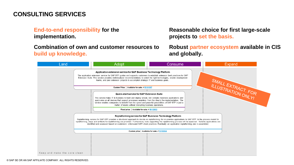## **CONSULTING SERVICES**

#### **End-to-end responsibility for the implementation.**

**Combination of own and customer resources to build up knowledge.**

**Reasonable choice for first large-scale projects to set the basis.**

**Robust partner ecosystem available in CIS and globally.**

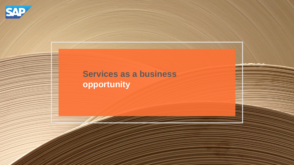

# **Services as a business opportunity**

© SAP SE OR AN SAP AFFILIATE COMPANY. ALL RIGHTS RESERVED. 7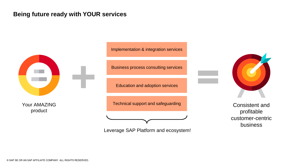### **Being future ready with YOUR services**



Your AMAZING product

Implementation & integration services

Business process consulting services

Education and adoption services

Technical support and safeguarding

Leverage SAP Platform and ecosystem!



Consistent and profitable customer-centric business